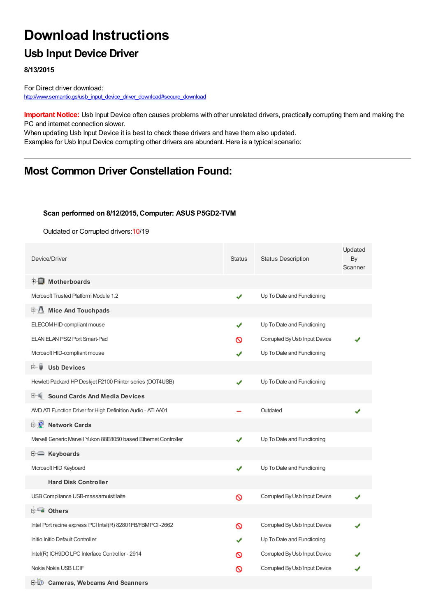# **Download Instructions**

### **Usb Input Device Driver**

**8/13/2015**

For Direct driver download: [http://www.semantic.gs/usb\\_input\\_device\\_driver\\_download#secure\\_download](http://www.semantic.gs/usb_input_device_driver_download#secure_download)

**Important Notice:** Usb Input Device often causes problems with other unrelated drivers, practically corrupting them and making the PC and internet connection slower.

When updating Usb Input Device it is best to check these drivers and have them also updated. Examples for Usb Input Device corrupting other drivers are abundant. Here is a typical scenario:

### **Most Common Driver Constellation Found:**

#### **Scan performed on 8/12/2015, Computer: ASUS P5GD2-TVM**

Outdated or Corrupted drivers:10/19

| Device/Driver                                                   | <b>Status</b> | <b>Status Description</b>     | Updated<br>By<br>Scanner |
|-----------------------------------------------------------------|---------------|-------------------------------|--------------------------|
| <b>E</b> Motherboards                                           |               |                               |                          |
| Microsoft Trusted Platform Module 1.2                           | ✔             | Up To Date and Functioning    |                          |
| E-U<br><b>Mice And Touchpads</b>                                |               |                               |                          |
| ELECOM HID-compliant mouse                                      | ✔             | Up To Date and Functioning    |                          |
| ELAN ELAN PS/2 Port Smart-Pad                                   | ര             | Corrupted By Usb Input Device |                          |
| Mcrosoft HID-compliant mouse                                    | ✔             | Up To Date and Functioning    |                          |
| 田… 闄<br><b>Usb Devices</b>                                      |               |                               |                          |
| Hewlett-Packard HP Deskjet F2100 Printer series (DOT4USB)       | ✔             | Up To Date and Functioning    |                          |
| <b>Sound Cards And Media Devices</b>                            |               |                               |                          |
| AMD ATI Function Driver for High Definition Audio - ATI A401    |               | Outdated                      |                          |
| <b>D</b> Network Cards                                          |               |                               |                          |
| Marvell Generic Marvell Yukon 88E8050 based Ethernet Controller | ✔             | Up To Date and Functioning    |                          |
| E Keyboards                                                     |               |                               |                          |
| Microsoft HID Keyboard                                          | ✔             | Up To Date and Functioning    |                          |
| <b>Hard Disk Controller</b>                                     |               |                               |                          |
| USB Compliance USB-massamuistilaite                             | Ø             | Corrupted By Usb Input Device |                          |
| <b>E</b> Others                                                 |               |                               |                          |
| Intel Port racine express PCI Intel(R) 82801FB/FBMPCI-2662      | Ø             | Corrupted By Usb Input Device |                          |
| Initio Initio Default Controller                                | J             | Up To Date and Functioning    |                          |
| Intel(R) ICH9DO LPC Interface Controller - 2914                 | ര             | Corrupted By Usb Input Device |                          |
| Nokia Nokia USB LCIF                                            | ര             | Corrupted By Usb Input Device |                          |
| <b>D</b> Cameras, Webcams And Scanners                          |               |                               |                          |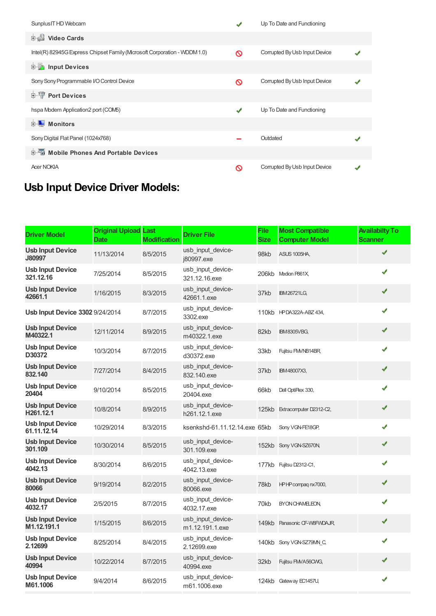| Sunplus IT HD Webcam                                                    |   | Up To Date and Functioning    |  |
|-------------------------------------------------------------------------|---|-------------------------------|--|
| Video Cards                                                             |   |                               |  |
| Intel(R) 82945G Express Chipset Family (Mcrosoft Corporation - WDDM1.0) | Ø | Corrupted By Usb Input Device |  |
| <b>E</b> Input Devices                                                  |   |                               |  |
| Sony Sony Programmable I/O Control Device                               | ∾ | Corrupted By Usb Input Device |  |
| <b>E-TP</b> Port Devices                                                |   |                               |  |
| hspa Modem Application2 port (COM5)                                     | ✔ | Up To Date and Functioning    |  |
| <b>Monitors</b><br>中<br>ш                                               |   |                               |  |
| Sony Digital Flat Panel (1024x768)                                      |   | Outdated                      |  |
| 中国 Mobile Phones And Portable Devices                                   |   |                               |  |
| <b>Acer NOKIA</b>                                                       | ര | Corrupted By Usb Input Device |  |

## **Usb Input Device Driver Models:**

| <b>Driver Model</b>                    | <b>Original Upload Last</b><br><b>Date</b> | <b>Modification</b> | <b>Driver File</b>                   | <b>File</b><br><b>Size</b> | <b>Most Compatible</b><br><b>Computer Model</b> | <b>Availabilty To</b><br><b>Scanner</b> |
|----------------------------------------|--------------------------------------------|---------------------|--------------------------------------|----------------------------|-------------------------------------------------|-----------------------------------------|
| <b>Usb Input Device</b><br>J80997      | 11/13/2014                                 | 8/5/2015            | usb input device-<br>j80997.exe      | 98kb                       | ASUS 1005HA.                                    | ✔                                       |
| <b>Usb Input Device</b><br>321.12.16   | 7/25/2014                                  | 8/5/2015            | usb input device-<br>321.12.16.exe   |                            | 206kb Medion P861X,                             | ✔                                       |
| <b>Usb Input Device</b><br>42661.1     | 1/16/2015                                  | 8/3/2015            | usb input device-<br>42661.1.exe     | 37kb                       | <b>IBM26721LG,</b>                              | ✔                                       |
| Usb Input Device 3302 9/24/2014        |                                            | 8/7/2015            | usb input device-<br>3302.exe        |                            | 110kb HPDA322A-ABZ 434,                         | ✔                                       |
| <b>Usb Input Device</b><br>M40322.1    | 12/11/2014                                 | 8/9/2015            | usb_input_device-<br>m40322.1.exe    | 82kb                       | <b>IBM8305VBG,</b>                              | ✔                                       |
| <b>Usb Input Device</b><br>D30372      | 10/3/2014                                  | 8/7/2015            | usb input device-<br>d30372.exe      | 33kb                       | Fujitsu FMVNB14BR                               | ✔                                       |
| <b>Usb Input Device</b><br>832.140     | 7/27/2014                                  | 8/4/2015            | usb input device-<br>832.140.exe     | 37kb                       | IBM48007X3,                                     | ✔                                       |
| <b>Usb Input Device</b><br>20404       | 9/10/2014                                  | 8/5/2015            | usb input device-<br>20404.exe       | 66kb                       | Dell OptiPlex 330,                              | ✔                                       |
| <b>Usb Input Device</b><br>H261.12.1   | 10/8/2014                                  | 8/9/2015            | usb input device-<br>h261.12.1.exe   |                            | 125kb Extracomputer D2312-C2,                   | ✔                                       |
| <b>Usb Input Device</b><br>61.11.12.14 | 10/29/2014                                 | 8/3/2015            | ksenkshd-61.11.12.14.exe 65kb        |                            | Sony VGN-FE18GP,                                | ✔                                       |
| <b>Usb Input Device</b><br>301.109     | 10/30/2014                                 | 8/5/2015            | usb_input_device-<br>301.109.exe     |                            | 152kb Sony VGN-SZ670N                           | ✔                                       |
| <b>Usb Input Device</b><br>4042.13     | 8/30/2014                                  | 8/6/2015            | usb input device-<br>4042.13.exe     |                            | 177kb Fujitsu D2312-C1,                         | ✔                                       |
| <b>Usb Input Device</b><br>80066       | 9/19/2014                                  | 8/2/2015            | usb input device-<br>80066.exe       | 78kb                       | HPHP compagnx7000,                              | ✔                                       |
| <b>Usb Input Device</b><br>4032.17     | 2/5/2015                                   | 8/7/2015            | usb input device-<br>4032.17.exe     | 70kb                       | BYON CHAMELEON,                                 | ✔                                       |
| <b>Usb Input Device</b><br>M1.12.191.1 | 1/15/2015                                  | 8/6/2015            | usb input device-<br>m1.12.191.1.exe |                            | 149kb Panasonic CF-W8FWDAJR,                    | ✔                                       |
| <b>Usb Input Device</b><br>2.12699     | 8/25/2014                                  | 8/4/2015            | usb_input_device-<br>2.12699.exe     |                            | 140kb Sony VGN-SZ79MN C,                        | ✔                                       |
| <b>Usb Input Device</b><br>40994       | 10/22/2014                                 | 8/7/2015            | usb input device-<br>40994.exe       | 32kb                       | Fujitsu FMVA56CWG,                              | ✔                                       |
| <b>Usb Input Device</b><br>M61.1006    | 9/4/2014                                   | 8/6/2015            | usb input device-<br>m61.1006.exe    |                            | 124kb Gateway EC1457U,                          | ✔                                       |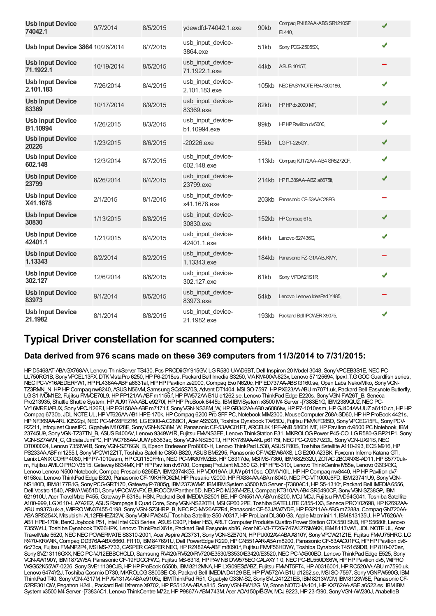| <b>Usb Input Device</b><br>74042.1   | 9/7/2014   | 8/5/2015 | ydewdfd-74042.1.exe                | 90kb | Compag PN182AA-ABS SR1210SF<br>日440. | ✔ |
|--------------------------------------|------------|----------|------------------------------------|------|--------------------------------------|---|
| Usb Input Device 3864 10/26/2014     |            | 8/7/2015 | usb_input_device-<br>3864.exe      | 51kb | Sony POG-Z505SX,                     | ✔ |
| <b>Usb Input Device</b><br>71.1922.1 | 10/19/2014 | 8/5/2015 | usb_input_device-<br>71.1922.1.exe | 44kb | <b>ASUS 1015T,</b>                   |   |
| <b>Usb Input Device</b><br>2.101.183 | 7/26/2014  | 8/4/2015 | usb input device-<br>2.101.183.exe |      | 105kb NECEASYNOTE PB47S00186,        | J |
| <b>Usb Input Device</b><br>83369     | 10/17/2014 | 8/9/2015 | usb_input_device-<br>83369.exe     | 82kb | HPHPdx2000 MT,                       | ✔ |
| <b>Usb Input Device</b><br>B1.10994  | 1/26/2015  | 8/3/2015 | usb_input_device-<br>b1.10994.exe  | 99kb | HPHP Pavilion dv5000,                | ✔ |
| <b>Usb Input Device</b><br>20226     | 1/23/2015  | 8/6/2015 | $-20226$ .exe                      | 55kb | LG F1-225GY,                         | ✔ |
| <b>Usb Input Device</b><br>602.148   | 12/3/2014  | 8/7/2015 | usb_input_device-<br>602.148.exe   |      | 113kb Compag KJ172AA-AB4 SR5272CF,   | ✔ |
| <b>Usb Input Device</b><br>23799     | 8/26/2014  | 8/4/2015 | usb input device-<br>23799.exe     |      | 214kb HPFL389AA-ABZ a6675it,         | ✔ |
| <b>Usb Input Device</b><br>X41.1678  | 2/1/2015   | 8/1/2015 | usb input device-<br>x41.1678.exe  |      | 203kb Panasonic CF-53AAC28FG,        |   |
| <b>Usb Input Device</b><br>30830     | 1/13/2015  | 8/8/2015 | usb_input_device-<br>30830.exe     |      | 152kb HP Compaq 615,                 | ✔ |
| <b>Usb Input Device</b><br>42401.1   | 1/21/2015  | 8/4/2015 | usb input device-<br>42401.1.exe   | 64kb | Lenovo 627436G,                      | ✔ |
| <b>Usb Input Device</b><br>1.13343   | 8/2/2014   | 8/2/2015 | usb_input_device-<br>1.13343.exe   |      | 184kb Panasonic FZ-G1AABJKMY,        |   |
| <b>Usb Input Device</b><br>302.127   | 12/6/2014  | 8/6/2015 | usb_input_device-<br>302.127.exe   | 61kb | Sony VPCW21S1R                       | ✔ |
| <b>Usb Input Device</b><br>83973     | 9/1/2014   | 8/5/2015 | usb input device-<br>83973.exe     | 54kb | Lenovo Lenovo IdeaPad Y485,          |   |
| <b>Usb Input Device</b><br>21.1982   | 8/1/2014   | 8/8/2015 | usb input device-<br>21.1982.exe   |      | 193kb Packard Bell IPOWER X9075,     |   |

### **Typical Driver constellation for scanned computers:**

#### **Data derived from 976 scans made on these 369 computers from 11/3/2014 to 7/31/2015:**

HP D5468AT-ABAGX768AA, Lenovo ThinkServer TS430, Pcs PRODiiGY915GV, LGR580-UAAD6BT, Dell Inspiron 20 Model 3048, Sony VPCEB3S1E, NEC PC-LL750RG1B, SonyVPCEL13FX,DTKVistaPro 6250,HPP6-2018es, Packard Bell Imedia S3250, VIAKM400/A-823x, Lenovo 57125694, IpexI.T.GGOCGuardfish series, NECPC-VY16AEDERFW1,HPFL436AA-ABFa6631af,HPHPPavilion ze2000,Compaq Evo N620c,HPED737AA-ABSt3160.se,Open Labs Neko/Miko, SonyVGN-TZ3RMN\_N, HPHP Compaq nw8240, ASUS N56VM, Samsung SQ45S70S, Advent DT1404, MSI SO-7597, HP PX623AA-ABU m7071.uk, Packard Bell Easynote Butterfly, LGS1-MOM1E2, Fujitsu FMVCE70L9,HPPP121AA-ABFm1155.f,HPPW572AA-B1Ud1262.se, Lenovo ThinkPad Edge E220s, SonyVGN-FW26T\_B, Seneca Pro213935, Shuttle Shuttle System, HP AU917AA-ABL e9270f, HP HP ProBook 6445b, IBMIBM System x3500 M4 Server -[7383E1G, IBM2389QU2, NEC PC-VY16MRFJAFUX, SonyVPCJ126FJ,HPEG158AA-ABFm7171.f, SonyVGN-NS38M\_W,HPGB342AA-AB0 a6086tw,HPP7-1010esm,HPGJ404AA-UUZa6110.ch,HPHP Compaq 6730b, JDL NOTE UL, HP VT626AA-AB1 HPE-170k, HP Compaq 6200 Pro SFF PC, Notebook MIN2300, MouseComputer Z68A-SD60, HP HP ProBook 4421s, HPNF369AA-ARL IQ522pl,NECPC-MY28FEZR6, LGE300-A.C28BC1, Acer AS5320, Toshiba Dynabook TX/65DJ, Fujitsu FMVNFD85D, SonyVPCEG15FL, SonyPCV-RZ211, Infoquest QuestPC, Gigabyte M1028E, Sony VGN-NS38M W, Panasonic CF-53AAC01FT, ARCELIK1PF-ANB586D1 MT, HP Pavilion dv9500 PC Notebook, IBM 23745U9, SonyVGN-TZ37TN\_B, ASUSB400AV, Lenovo 9349W1R, Fujitsu FMVNS3EE, Lenovo ThinkStation E31, MIKROLOGPower P45-CO, LGR580-G.BP21P1, Sony VGN-SZ7AWN\_C, Olidata JumPC, HP WC785AA-UUW p6363sc, Sony VGN-NS250TJ, HP KY789AA-AKL p6175l, NEC PC-GV267VZDL, Sony VGN-UX91S, NEC DT000024, Lenovo 7359W4B, SonyVGN-SZ76GN\_B, Epson Endeavor Pro8000-H, Lenovo ThinkPad L530, ASUSF80S, Toshiba Satellite A110-293, ECSM916,HP PS233AA-ABF m1255.f, Sony VPCW12Z1T, Toshiba Satellite C850-B820, ASUS BM5295, Panasonic CF-W2EW6AXS, LG E200-A23BK, Foxconn Inferno Katana GTI, LanixLANIXCORP4080,HPP7-1010esm,HPCQ1150FRm,NECPC-MA30YMZEB,HPG5317de,MSIMS-7360,IBM682532U,ZOTACZBOXNXS-AD11,HPS5770ukm, Fujitsu AMLO PRO V3515, Gateway 6834MX, HP HP Pavilion dv6700, Compaq ProLiant ML350 G3, HP HPE-310t, Lenovo ThinkCentre M55e, Lenovo 099343G, Lenovo Lenovo N500 Notebook, Compaq Presario 6266EA, IBM2374KG5, HP VD019AA-UUW p6110sc, ODMV10IL, HP HP Compaq nw8440, HP HP Pavilion dv7-6158ca, Lenovo ThinkPad Edge E320, PanasonicCF-19KHRC62M,HPPresario V2000,HPRX884AA-ABAm8040,NECPC-VT1000J6FD, IBM23741U9, SonyVGN-NS180D, IBM8177B1G, SonyPCG-GRT170,GatewayP-7805g, IBM2373WMZ, IBMIBMSystem x3500 M3 Server -[7380AC1,HPS5-1310t, Packard Bell IMEDIA6556, Dell Vostro 1540, ARIMA W651DI, Sony VPCCW2VFX, EUROCOM Panther 5D, NEC PC-MJ28VHZEJ, Compaq KT310AA-AB4 SR5490CF, Sony VGN-SZ38GP, IBM 621910U, Acer TravelMate P455,GatewayP-6318u HSN, Packard Bell IMEDIAB2501 BE,HPGN551AA-ABAm8200, MCJ MCJ, Fujitsu FMVD94G041, Toshiba Satellite A100-999, LGX110-L.A7A2E2, ASUSRampage IIQuad Core, SonyVGN-NS220TH, MSIGP60 2PE, Toshiba SATELLITEC855-1X3, Seneca PRO102698,HPKZ692AA-ABU m9373.uk-a, WIPRO WIV37455-0198, Sony VGN-SZ3HRP\_B, NEC PC-MY26AEZR4, Panasonic CF-53JAWZYDE, HP EG211AA-ABG m7288a, Compaq GN720AA-ABASR5254X, Mitsubishi AL12FBHEZ42W, Sony VGN-FW245J, Toshiba Satellite S50-A0317, HP ProLiant DL360 G3, Apple Macmini1,1, IBM813135U, HP VT626AA-AB1 HPE-170k, BenQ Joybook P51, Intel Intel G33 Series, ASUS C90P, Haier H53, ARLT Computer Produkte Quattro Power Station GTX 550 SNB, HP S5680t, Lenovo 7355W1J, Toshiba Dynabook TX/66HPK, Lenovo ThinkPad X61s, Packard Bell Easynote sb86, Acer NC-V3-772G-747A1275MAKK, IBM8113VW1, JDL NOTEUL, Acer TravelMate 5520, NEC NEC POWERMATE S8310-2001, Acer Aspire AG3731, Sony VGN-SZ670N, HP PU002AV-ABA A810Y, Sony VPCW21Z1E, Fujitsu FMVJ75HRG, LG R470-KRW4K, Compaq DD376A-ABX6660. FI110, IBM847691U, Dell PowerEdge R220, HP GN551AAR-ABAm8200, Panasonic CF-53AAC01FG, HP HP Pavilion dv6-6c73ca, Fujitsu FMNP2P4, MSI MS-7733, CASPER CASPER NEO, HP RZ482AĂABF m8090.f, Fujitsu FMVF56HDWY, Toshiba Dynabook T451/59DB, HP 810-070ez, Sony SVZ13116GXX, NEC PC-VJ12EBBCHCLD, Samsung RV420/RV520/RV720/E3530/S3530/E3420/E3520, NEC PC-VX500BD, Lenovo ThinkPad Edge E525, Sony VGN-AW190Y, IBM1872W5A, PanasonicCF-19FDGCFWG, Fujitsu MS-6318,HPPAVNBDV9575EOGALAXY1 0,NECPC-BL550DS6W,HPHPPavilion dv5, WIPRO WSG52K55W7-0226, SonySVE11139CJB, HPHP ProBook 6550b, IBM8212MNA, HPLX909ES#ABZ, Fujitsu FMMT5FT4, HP A0316001, HP RC520AA-ABU m7590.uk, Lenovo 6474Y2J, Toshiba Qosmio D730, MKROLOG S800SE-C6, Packard Bell IMEDIAD4129 BE, HP PW572AA-B1U d1262.se, MSI SO-7597, Sony VGNFW590G, IBM ThinkPad T40, Sony VGN-A317M, HP AV131AV-ABAe9105z, IBM ThinkPad R51, Gigabyte G33M-S2, Sony SVL2412Z1EB, IBM8213WCM, IBM8123W8E, Panasonic CF-52RE301QW, Pegatron H24L, Packard Bell IXtreme X9702,HPPS512AA-ABAa815, SonyVGN-FW12G\_W, Stone NOTCHA-101,HPKX762AA-ABEa6522.es, IBMIBM System x3500 M4 Server -[7383AC1, Lenovo ThinkCentre M72z, HP P9867A-ABM743M, Acer AOA150p/BGW, MCJ 9223, HP 23-f390, Sony VGN-AW230J, AnabelleB